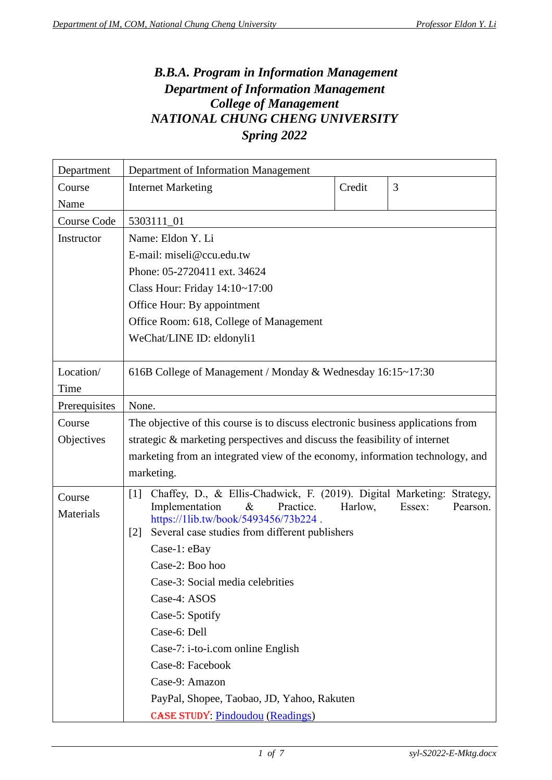## *B.B.A. Program in Information Management Department of Information Management College of Management NATIONAL CHUNG CHENG UNIVERSITY Spring 2022*

| Department         | Department of Information Management                                                                        |         |                    |
|--------------------|-------------------------------------------------------------------------------------------------------------|---------|--------------------|
| Course             | <b>Internet Marketing</b>                                                                                   | Credit  | 3                  |
| Name               |                                                                                                             |         |                    |
| <b>Course Code</b> | 5303111_01                                                                                                  |         |                    |
| Instructor         | Name: Eldon Y. Li                                                                                           |         |                    |
|                    | E-mail: miseli@ccu.edu.tw                                                                                   |         |                    |
|                    | Phone: 05-2720411 ext. 34624                                                                                |         |                    |
|                    | Class Hour: Friday $14:10 \sim 17:00$                                                                       |         |                    |
|                    | Office Hour: By appointment                                                                                 |         |                    |
|                    | Office Room: 618, College of Management                                                                     |         |                    |
|                    | WeChat/LINE ID: eldonyli1                                                                                   |         |                    |
|                    |                                                                                                             |         |                    |
| Location/          | 616B College of Management / Monday & Wednesday 16:15~17:30                                                 |         |                    |
| Time               |                                                                                                             |         |                    |
| Prerequisites      | None.                                                                                                       |         |                    |
| Course             | The objective of this course is to discuss electronic business applications from                            |         |                    |
| Objectives         | strategic & marketing perspectives and discuss the feasibility of internet                                  |         |                    |
|                    | marketing from an integrated view of the economy, information technology, and                               |         |                    |
|                    | marketing.                                                                                                  |         |                    |
| Course             | Chaffey, D., & Ellis-Chadwick, F. (2019). Digital Marketing: Strategy,<br>$[1]$                             |         |                    |
| Materials          | Implementation<br>$\&$<br>Practice.                                                                         | Harlow, | Pearson.<br>Essex: |
|                    | https://1lib.tw/book/5493456/73b224.<br>Several case studies from different publishers<br>$\lceil 2 \rceil$ |         |                    |
|                    | Case-1: eBay                                                                                                |         |                    |
|                    | Case-2: Boo hoo                                                                                             |         |                    |
|                    | Case-3: Social media celebrities                                                                            |         |                    |
|                    | Case-4: ASOS                                                                                                |         |                    |
|                    | Case-5: Spotify                                                                                             |         |                    |
|                    | Case-6: Dell                                                                                                |         |                    |
|                    | Case-7: i-to-i.com online English                                                                           |         |                    |
|                    | Case-8: Facebook                                                                                            |         |                    |
|                    | Case-9: Amazon                                                                                              |         |                    |
|                    | PayPal, Shopee, Taobao, JD, Yahoo, Rakuten                                                                  |         |                    |
|                    | <b>CASE STUDY: Pindoudou (Readings)</b>                                                                     |         |                    |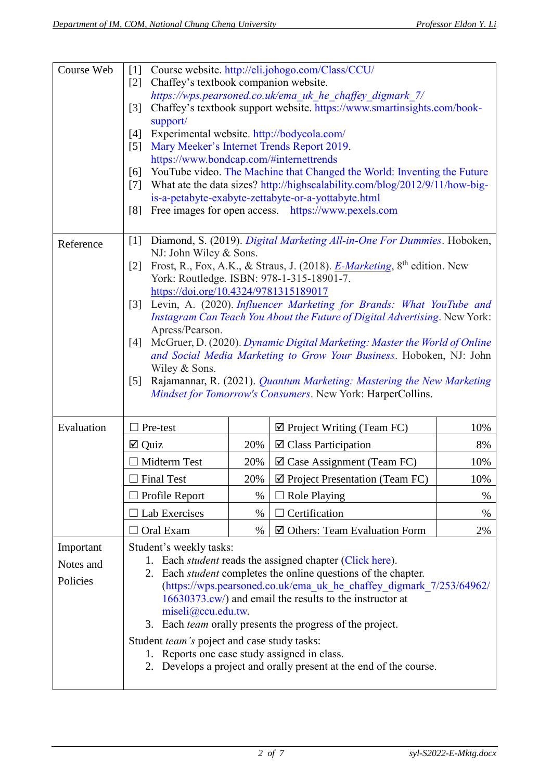| Course Web | $[1]$                                                                 | Course website. http://eli.johogo.com/Class/CCU/                                                                                                  |                                                                        |      |  |
|------------|-----------------------------------------------------------------------|---------------------------------------------------------------------------------------------------------------------------------------------------|------------------------------------------------------------------------|------|--|
|            | [2]                                                                   | Chaffey's textbook companion website.                                                                                                             |                                                                        |      |  |
|            |                                                                       | https://wps.pearsoned.co.uk/ema_uk_he_chaffey_digmark_7/                                                                                          |                                                                        |      |  |
|            | $\lceil 3 \rceil$<br>support/                                         | Chaffey's textbook support website. https://www.smartinsights.com/book-                                                                           |                                                                        |      |  |
|            | [4]                                                                   | Experimental website. http://bodycola.com/                                                                                                        |                                                                        |      |  |
|            | $\lceil 5 \rceil$                                                     | Mary Meeker's Internet Trends Report 2019.                                                                                                        |                                                                        |      |  |
|            |                                                                       | https://www.bondcap.com/#internettrends                                                                                                           |                                                                        |      |  |
|            | [6]                                                                   | YouTube video. The Machine that Changed the World: Inventing the Future                                                                           |                                                                        |      |  |
|            | [7]                                                                   | What ate the data sizes? http://highscalability.com/blog/2012/9/11/how-big-                                                                       |                                                                        |      |  |
|            | [8]                                                                   | is-a-petabyte-exabyte-zettabyte-or-a-yottabyte.html<br>Free images for open access. https://www.pexels.com                                        |                                                                        |      |  |
|            |                                                                       |                                                                                                                                                   |                                                                        |      |  |
|            | $[1]$                                                                 |                                                                                                                                                   | Diamond, S. (2019). Digital Marketing All-in-One For Dummies. Hoboken, |      |  |
| Reference  |                                                                       | NJ: John Wiley & Sons.                                                                                                                            |                                                                        |      |  |
|            | $\lceil 2 \rceil$                                                     | Frost, R., Fox, A.K., & Straus, J. (2018). <i>E-Marketing</i> , 8 <sup>th</sup> edition. New                                                      |                                                                        |      |  |
|            |                                                                       | York: Routledge. ISBN: 978-1-315-18901-7.                                                                                                         |                                                                        |      |  |
|            |                                                                       | https://doi.org/10.4324/9781315189017                                                                                                             |                                                                        |      |  |
|            | $\lceil 3 \rceil$                                                     | Levin, A. (2020). Influencer Marketing for Brands: What YouTube and<br>Instagram Can Teach You About the Future of Digital Advertising. New York: |                                                                        |      |  |
|            | Apress/Pearson.                                                       |                                                                                                                                                   |                                                                        |      |  |
|            | [4]                                                                   | McGruer, D. (2020). Dynamic Digital Marketing: Master the World of Online                                                                         |                                                                        |      |  |
|            |                                                                       | and Social Media Marketing to Grow Your Business. Hoboken, NJ: John                                                                               |                                                                        |      |  |
|            |                                                                       | Wiley & Sons.<br>Rajamannar, R. (2021). Quantum Marketing: Mastering the New Marketing                                                            |                                                                        |      |  |
|            | $\lceil 5 \rceil$                                                     | Mindset for Tomorrow's Consumers. New York: HarperCollins.                                                                                        |                                                                        |      |  |
|            |                                                                       |                                                                                                                                                   |                                                                        |      |  |
| Evaluation | Pre-test                                                              |                                                                                                                                                   | $\boxtimes$ Project Writing (Team FC)                                  | 10%  |  |
|            | $\boxtimes$ Quiz                                                      | 20%                                                                                                                                               | $\boxtimes$ Class Participation                                        | 8%   |  |
|            | $\Box$ Midterm Test                                                   | 20%                                                                                                                                               | $\boxtimes$ Case Assignment (Team FC)                                  | 10%  |  |
|            | <b>Final Test</b>                                                     | 20%                                                                                                                                               | ☑ Project Presentation (Team FC)                                       | 10%  |  |
|            | Profile Report                                                        | %                                                                                                                                                 | <b>Role Playing</b>                                                    | $\%$ |  |
|            | Lab Exercises                                                         | %                                                                                                                                                 | Certification                                                          | $\%$ |  |
|            | Oral Exam                                                             | %                                                                                                                                                 | ☑ Others: Team Evaluation Form                                         | 2%   |  |
| Important  | Student's weekly tasks:                                               |                                                                                                                                                   |                                                                        |      |  |
| Notes and  | 1. Each <i>student</i> reads the assigned chapter (Click here).       |                                                                                                                                                   |                                                                        |      |  |
| Policies   | 2. Each <i>student</i> completes the online questions of the chapter. |                                                                                                                                                   |                                                                        |      |  |
|            |                                                                       | (https://wps.pearsoned.co.uk/ema_uk_he_chaffey_digmark_7/253/64962/                                                                               |                                                                        |      |  |
|            |                                                                       | 16630373.cw/) and email the results to the instructor at<br>miseli@ccu.edu.tw.                                                                    |                                                                        |      |  |
|            |                                                                       | 3. Each team orally presents the progress of the project.                                                                                         |                                                                        |      |  |
|            |                                                                       | Student <i>team's</i> poject and case study tasks:                                                                                                |                                                                        |      |  |
|            | 1.                                                                    | Reports one case study assigned in class.                                                                                                         |                                                                        |      |  |
|            | 2.                                                                    | Develops a project and orally present at the end of the course.                                                                                   |                                                                        |      |  |
|            |                                                                       |                                                                                                                                                   |                                                                        |      |  |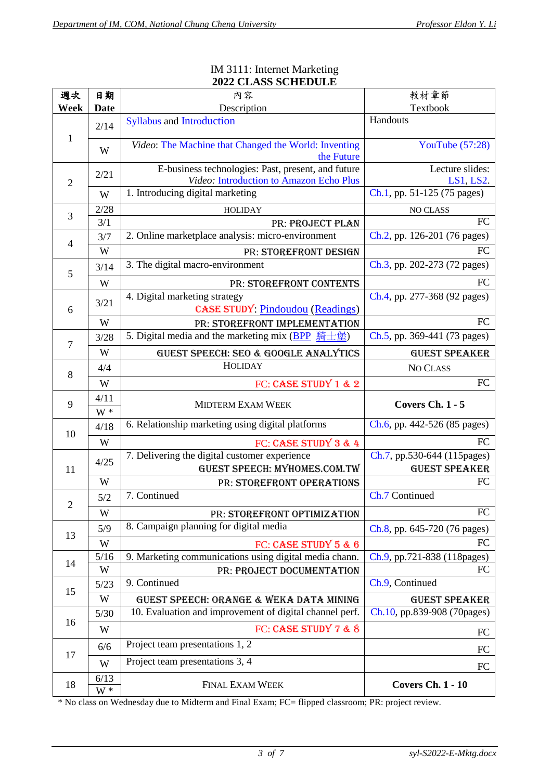| 週次             | 日期                                                                               | 內容                                                                                            | 教材章節                         |  |  |
|----------------|----------------------------------------------------------------------------------|-----------------------------------------------------------------------------------------------|------------------------------|--|--|
| Week           | <b>Date</b>                                                                      | Description                                                                                   | Textbook                     |  |  |
|                | 2/14                                                                             | <b>Syllabus and Introduction</b>                                                              | Handouts                     |  |  |
| $\mathbf{1}$   | W                                                                                | Video: The Machine that Changed the World: Inventing<br>the Future                            | YouTube $(57:28)$            |  |  |
| $\overline{2}$ | 2/21                                                                             | E-business technologies: Past, present, and future<br>Video: Introduction to Amazon Echo Plus | Lecture slides:<br>LS1, LS2. |  |  |
| W              |                                                                                  | 1. Introducing digital marketing                                                              | Ch.1, pp. 51-125 (75 pages)  |  |  |
| 3              | 2/28                                                                             | <b>HOLIDAY</b>                                                                                | NO CLASS                     |  |  |
|                | 3/1                                                                              | PR: PROJECT PLAN                                                                              | FC                           |  |  |
| 4              | 3/7                                                                              | 2. Online marketplace analysis: micro-environment                                             | Ch.2, pp. 126-201 (76 pages) |  |  |
|                | W                                                                                | PR: STOREFRONT DESIGN                                                                         | FC                           |  |  |
| 5              | 3/14                                                                             | 3. The digital macro-environment<br>Ch.3, pp. 202-273 (72 pages)                              |                              |  |  |
|                | W                                                                                | PR: STOREFRONT CONTENTS                                                                       | FC                           |  |  |
| 6              | 4. Digital marketing strategy<br>3/21<br><b>CASE STUDY: Pindoudou (Readings)</b> |                                                                                               | Ch.4, pp. 277-368 (92 pages) |  |  |
|                | W                                                                                | PR: STOREFRONT IMPLEMENTATION                                                                 | FC                           |  |  |
| $\overline{7}$ | 3/28                                                                             | 5. Digital media and the marketing mix (BPP 騎士堡)                                              | Ch.5, pp. 369-441 (73 pages) |  |  |
|                | W<br>GUEST SPEECH: SEO & GOOGLE ANALYTICS                                        |                                                                                               | <b>GUEST SPEAKER</b>         |  |  |
| 8              | <b>HOLIDAY</b><br>4/4                                                            |                                                                                               | NO CLASS                     |  |  |
| W              |                                                                                  | FC: CASE STUDY 1 & 2                                                                          | FC                           |  |  |
|                |                                                                                  |                                                                                               |                              |  |  |
| 9              | 4/11<br>$W^*$                                                                    | <b>MIDTERM EXAM WEEK</b>                                                                      | <b>Covers Ch. 1 - 5</b>      |  |  |
|                | 4/18                                                                             | 6. Relationship marketing using digital platforms                                             | Ch.6, pp. 442-526 (85 pages) |  |  |
| 10             | W                                                                                | FC: CASE STUDY 3 & 4                                                                          | FC                           |  |  |
|                |                                                                                  | 7. Delivering the digital customer experience                                                 | Ch.7, pp.530-644 (115pages)  |  |  |
| 11             | 4/25                                                                             | GUEST SPEECH: MYHOMES.COM.TW                                                                  | <b>GUEST SPEAKER</b>         |  |  |
|                | W                                                                                | PR: STOREFRONT OPERATIONS                                                                     | FC                           |  |  |
|                | 5/2                                                                              | 7. Continued                                                                                  | Ch.7 Continued               |  |  |
| 2              | W                                                                                | PR: STOREFRONT OPTIMIZATION                                                                   | FC                           |  |  |
|                | 5/9                                                                              | 8. Campaign planning for digital media                                                        | Ch.8, pp. 645-720 (76 pages) |  |  |
| 13             | W                                                                                | FC: CASE STUDY 5 & 6                                                                          | FC                           |  |  |
|                | $5/16$                                                                           | 9. Marketing communications using digital media chann.                                        | Ch.9, pp.721-838 (118pages)  |  |  |
| 14             | W                                                                                | PR: PROJECT DOCUMENTATION                                                                     | FC                           |  |  |
|                | 5/23                                                                             | 9. Continued                                                                                  | Ch.9, Continued              |  |  |
| 15             | W                                                                                | GUEST SPEECH: ORANGE & WEKA DATA MINING                                                       | <b>GUEST SPEAKER</b>         |  |  |
|                | $5/30$                                                                           | 10. Evaluation and improvement of digital channel perf.                                       | Ch.10, pp.839-908 (70pages)  |  |  |
| 16             | W                                                                                | FC: CASE STUDY 7 & 8                                                                          | FC                           |  |  |
|                | 6/6                                                                              | Project team presentations 1, 2                                                               | FC                           |  |  |
| 17             | W                                                                                | Project team presentations 3, 4                                                               | FC                           |  |  |

## [IM 3111:](https://eli.johogo.com/Class/CCU/E-Mktg/syl-S2022-E-Mktg.docx) [Internet Marketing](https://eli.johogo.com/Class/CCU/E-Mktg/syl-S2022-E-Mktg.pdf) **2022 CLASS SCHEDULE**

\* No class on Wednesday due to Midterm and Final Exam; FC= flipped classroom; PR: project review.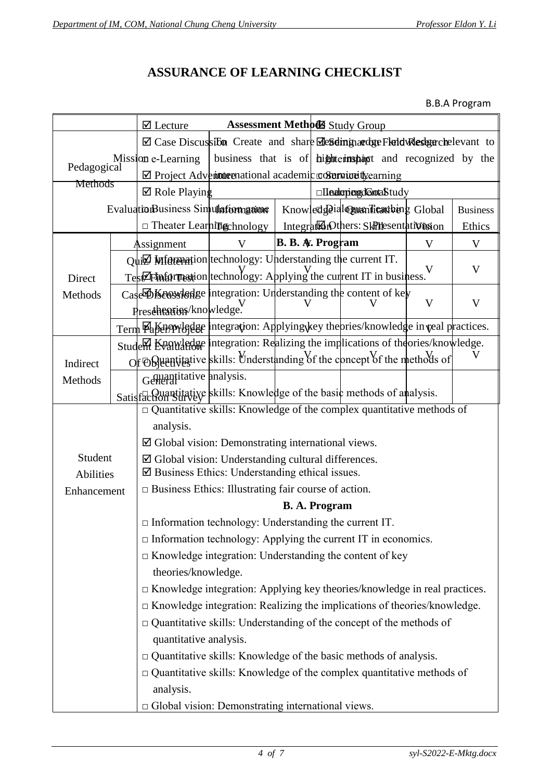## **ASSURANCE OF LEARNING CHECKLIST**

## B.B.A Program

|                                                                |  | $\boxtimes$ Lecture                                                                        | <b>Assessment Methods Study Group</b> |                         |  |                                                          |              |                 |
|----------------------------------------------------------------|--|--------------------------------------------------------------------------------------------|---------------------------------------|-------------------------|--|----------------------------------------------------------|--------------|-----------------|
|                                                                |  | ⊠ Case Discussibon Create and share <b>Megding adge Fletd Researchelevant</b> to           |                                       |                         |  |                                                          |              |                 |
|                                                                |  | Mission e-Learning                                                                         |                                       |                         |  | business that is of hightermspaced and recognized by the |              |                 |
| Pedagogical                                                    |  | ⊠ Project Adventume Prational academic contractually earning                               |                                       |                         |  |                                                          |              |                 |
| Methods                                                        |  | $\boxtimes$ Role Playing                                                                   | □IInatepingdGrotaStudy                |                         |  |                                                          |              |                 |
|                                                                |  | EvaluationBusiness Simulatiomgaione                                                        |                                       |                         |  | Knowled deialonum licaribing Global                      |              | <b>Business</b> |
|                                                                |  | $\Box$ Theater Learning chnology                                                           |                                       |                         |  | IntegrationOthers: SkPresentativission                   |              | Ethics          |
|                                                                |  | Assignment                                                                                 |                                       | <b>B. B. A. Program</b> |  |                                                          | V            | V               |
|                                                                |  | $Q$ ui $\mathbb Z$ Mformation technology: Understanding the current IT.                    |                                       |                         |  |                                                          |              |                 |
| Direct                                                         |  | $T$ estAthtornestion technology: Applying the current IT in business.                      |                                       |                         |  |                                                          |              | V               |
| Methods                                                        |  | Case <b>DKensyledge</b> integration: Understanding the content of key                      |                                       |                         |  |                                                          |              |                 |
|                                                                |  | Prescheanist knowledge.                                                                    |                                       |                         |  |                                                          | $\mathbf{V}$ | $\mathbf V$     |
|                                                                |  | Term <b>Paker/Presses</b> integration: Applying key the pries/knowledge in veal practices. |                                       |                         |  |                                                          |              |                 |
|                                                                |  | Studem Knawledge Integration: Realizing the implications of theories/knowledge.            |                                       |                         |  |                                                          |              |                 |
| Indirect                                                       |  | Or ORuantitative skills: Understanding of the concept of the methods of                    |                                       |                         |  |                                                          |              |                 |
| Methods                                                        |  | Generalitative analysis.                                                                   |                                       |                         |  |                                                          |              |                 |
|                                                                |  | Satisfaction Survey skills: Knowledge of the basic methods of analysis.                    |                                       |                         |  |                                                          |              |                 |
|                                                                |  | $\Box$ Quantitative skills: Knowledge of the complex quantitative methods of               |                                       |                         |  |                                                          |              |                 |
|                                                                |  | analysis.                                                                                  |                                       |                         |  |                                                          |              |                 |
|                                                                |  | $\boxtimes$ Global vision: Demonstrating international views.                              |                                       |                         |  |                                                          |              |                 |
| Student                                                        |  | $\boxtimes$ Global vision: Understanding cultural differences.                             |                                       |                         |  |                                                          |              |                 |
| <b>Abilities</b>                                               |  | $\boxtimes$ Business Ethics: Understanding ethical issues.                                 |                                       |                         |  |                                                          |              |                 |
| Enhancement                                                    |  | $\Box$ Business Ethics: Illustrating fair course of action.                                |                                       |                         |  |                                                          |              |                 |
|                                                                |  | <b>B. A. Program</b>                                                                       |                                       |                         |  |                                                          |              |                 |
| $\Box$ Information technology: Understanding the current IT.   |  |                                                                                            |                                       |                         |  |                                                          |              |                 |
|                                                                |  | $\Box$ Information technology: Applying the current IT in economics.                       |                                       |                         |  |                                                          |              |                 |
| $\Box$ Knowledge integration: Understanding the content of key |  |                                                                                            |                                       |                         |  |                                                          |              |                 |
|                                                                |  | theories/knowledge.                                                                        |                                       |                         |  |                                                          |              |                 |
|                                                                |  | □ Knowledge integration: Applying key theories/knowledge in real practices.                |                                       |                         |  |                                                          |              |                 |
|                                                                |  | $\Box$ Knowledge integration: Realizing the implications of theories/knowledge.            |                                       |                         |  |                                                          |              |                 |
|                                                                |  | $\Box$ Quantitative skills: Understanding of the concept of the methods of                 |                                       |                         |  |                                                          |              |                 |
|                                                                |  | quantitative analysis.                                                                     |                                       |                         |  |                                                          |              |                 |
|                                                                |  | $\Box$ Quantitative skills: Knowledge of the basic methods of analysis.                    |                                       |                         |  |                                                          |              |                 |
|                                                                |  | $\Box$ Quantitative skills: Knowledge of the complex quantitative methods of               |                                       |                         |  |                                                          |              |                 |
|                                                                |  | analysis.                                                                                  |                                       |                         |  |                                                          |              |                 |
|                                                                |  | $\Box$ Global vision: Demonstrating international views.                                   |                                       |                         |  |                                                          |              |                 |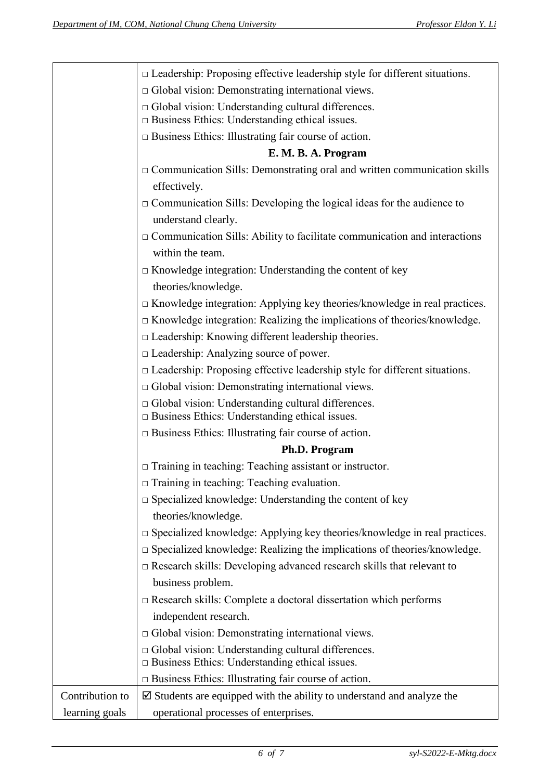|                 | $\Box$ Leadership: Proposing effective leadership style for different situations.                                  |
|-----------------|--------------------------------------------------------------------------------------------------------------------|
|                 | $\Box$ Global vision: Demonstrating international views.                                                           |
|                 | $\Box$ Global vision: Understanding cultural differences.<br>$\Box$ Business Ethics: Understanding ethical issues. |
|                 | $\Box$ Business Ethics: Illustrating fair course of action.                                                        |
|                 | E. M. B. A. Program                                                                                                |
|                 | $\Box$ Communication Sills: Demonstrating oral and written communication skills                                    |
|                 | effectively.                                                                                                       |
|                 | $\Box$ Communication Sills: Developing the logical ideas for the audience to                                       |
|                 | understand clearly.                                                                                                |
|                 | $\Box$ Communication Sills: Ability to facilitate communication and interactions                                   |
|                 | within the team.                                                                                                   |
|                 | $\Box$ Knowledge integration: Understanding the content of key                                                     |
|                 | theories/knowledge.                                                                                                |
|                 | $\Box$ Knowledge integration: Applying key theories/knowledge in real practices.                                   |
|                 | $\Box$ Knowledge integration: Realizing the implications of theories/knowledge.                                    |
|                 | $\Box$ Leadership: Knowing different leadership theories.                                                          |
|                 | $\Box$ Leadership: Analyzing source of power.                                                                      |
|                 | $\Box$ Leadership: Proposing effective leadership style for different situations.                                  |
|                 | $\Box$ Global vision: Demonstrating international views.                                                           |
|                 | □ Global vision: Understanding cultural differences.<br>$\square$ Business Ethics: Understanding ethical issues.   |
|                 | $\Box$ Business Ethics: Illustrating fair course of action.                                                        |
|                 | Ph.D. Program                                                                                                      |
|                 | $\Box$ Training in teaching: Teaching assistant or instructor.                                                     |
|                 | $\Box$ Training in teaching: Teaching evaluation.                                                                  |
|                 | $\square$ Specialized knowledge: Understanding the content of key                                                  |
|                 | theories/knowledge.                                                                                                |
|                 | $\square$ Specialized knowledge: Applying key theories/knowledge in real practices.                                |
|                 | $\Box$ Specialized knowledge: Realizing the implications of theories/knowledge.                                    |
|                 | $\Box$ Research skills: Developing advanced research skills that relevant to                                       |
|                 | business problem.                                                                                                  |
|                 | $\Box$ Research skills: Complete a doctoral dissertation which performs                                            |
|                 | independent research.                                                                                              |
|                 | □ Global vision: Demonstrating international views.                                                                |
|                 | $\Box$ Global vision: Understanding cultural differences.<br>$\Box$ Business Ethics: Understanding ethical issues. |
|                 | $\Box$ Business Ethics: Illustrating fair course of action.                                                        |
| Contribution to | $\boxtimes$ Students are equipped with the ability to understand and analyze the                                   |
| learning goals  | operational processes of enterprises.                                                                              |